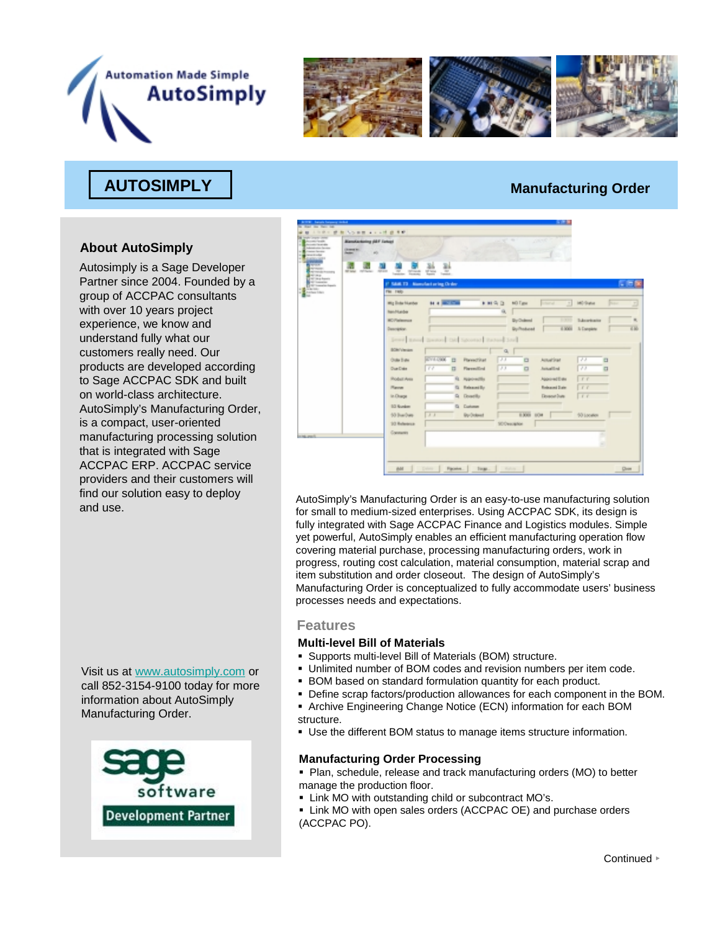



## **AUTOSIMPLY AUTOSIMPLY Manufacturing Order**

### **About AutoSimply**

Autosimply is a Sage Developer Partner since 2004. Founded by a group of ACCPAC consultants with over 10 years project experience, we know and understand fully what our customers really need. Our products are developed according to Sage ACCPAC SDK and built on world-class architecture. AutoSimply's Manufacturing Order, is a compact, user-oriented manufacturing processing solution that is integrated with Sage ACCPAC ERP. ACCPAC service providers and their customers will find our solution easy to deploy

Visit us at www.autosimply.com or call 852-3154-9100 today for more information about AutoSimply Manufacturing Order.





and use. AutoSimply's Manufacturing Order is an easy-to-use manufacturing solution<br>AutoSimply's Manufacturing Order is an easy-to-use manufacturing solution for small to medium-sized enterprises. Using ACCPAC SDK, its design is fully integrated with Sage ACCPAC Finance and Logistics modules. Simple yet powerful, AutoSimply enables an efficient manufacturing operation flow covering material purchase, processing manufacturing orders, work in progress, routing cost calculation, material consumption, material scrap and item substitution and order closeout. The design of AutoSimply's Manufacturing Order is conceptualized to fully accommodate users' business processes needs and expectations.

#### **Features**

#### **Multi-level Bill of Materials**

- Supports multi-level Bill of Materials (BOM) structure.
- Unlimited number of BOM codes and revision numbers per item code.
- BOM based on standard formulation quantity for each product.
- Define scrap factors/production allowances for each component in the BOM.
- Archive Engineering Change Notice (ECN) information for each BOM structure.
- Use the different BOM status to manage items structure information.

#### **Manufacturing Order Processing**

- Plan, schedule, release and track manufacturing orders (MO) to better manage the production floor.
- **EXECT:** Link MO with outstanding child or subcontract MO's.
- **EXALUATE:** Link MO with open sales orders (ACCPAC OE) and purchase orders (ACCPAC PO).